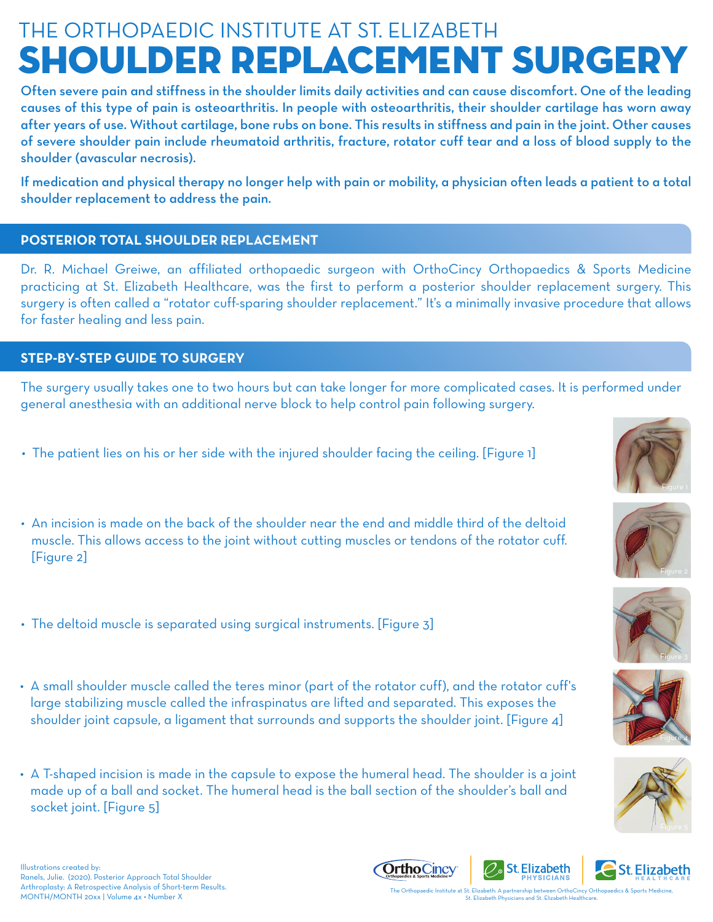## Shoulder Replacement Surgery THE ORTHOPAEDIC INSTITUTE AT ST. ELIZABETH

Often severe pain and stiffness in the shoulder limits daily activities and can cause discomfort. One of the leading causes of this type of pain is osteoarthritis. In people with osteoarthritis, their shoulder cartilage has worn away after years of use. Without cartilage, bone rubs on bone. This results in stiffness and pain in the joint. Other causes of severe shoulder pain include rheumatoid arthritis, fracture, rotator cuff tear and a loss of blood supply to the shoulder (avascular necrosis).

If medication and physical therapy no longer help with pain or mobility, a physician often leads a patient to a total shoulder replacement to address the pain.

## **POSTERIOR TOTAL SHOULDER REPLACEMENT**

Dr. R. Michael Greiwe, an affiliated orthopaedic surgeon with OrthoCincy Orthopaedics & Sports Medicine practicing at St. Elizabeth Healthcare, was the first to perform a posterior shoulder replacement surgery. This surgery is often called a "rotator cuff-sparing shoulder replacement." It's a minimally invasive procedure that allows for faster healing and less pain.

## **STEP-BY-STEPGUIDETOSURGERY**

The surgery usually takes one to two hours but can take longer for more complicated cases. It is performed under general anesthesia with an additional nerve block to help control pain following surgery.

- The patient lies on his or her side with the injured shoulder facing the ceiling. [Figure 1]
- An incision is made on the back of the shoulder near the end and middle third of the deltoid muscle. This allows access to the joint without cutting muscles or tendons of the rotator cuff. [Figure 2]
- The deltoid muscle is separated using surgical instruments. [Figure 3]
- A small shoulder muscle called the teres minor (part of the rotator cuff), and the rotator cuff's large stabilizing muscle called the infraspinatus are lifted and separated. This exposes the shoulder joint capsule, a ligament that surrounds and supports the shoulder joint. [Figure 4]
- A T-shaped incision is made in the capsule to expose the humeral head. The shoulder is a joint made up of a ball and socket. The humeral head is the ball section of the shoulder's ball and socket joint. [Figure 5]













Illustrations created by: Ranels, Julie. (2020). Posterior Approach Total Shoulder Arthroplasty: A Retrospective Analysis of Short-term Results.



**PHYSICIANS** MONTH/MONTH 20xx | Volume 4x • Number X<br>MONTH/MONTH 20xx | Volume 4x • Number X